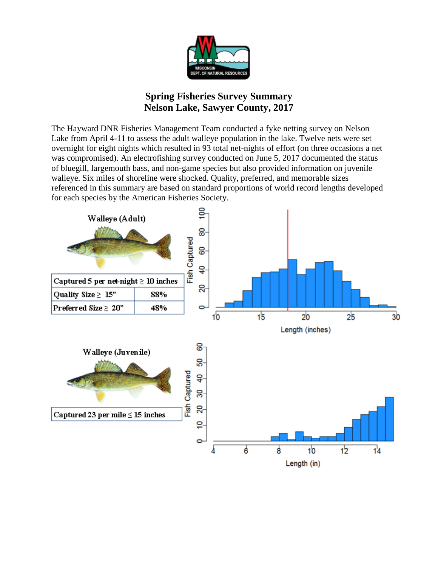

## **Spring Fisheries Survey Summary Nelson Lake, Sawyer County, 2017**

The Hayward DNR Fisheries Management Team conducted a fyke netting survey on Nelson Lake from April 4-11 to assess the adult walleye population in the lake. Twelve nets were set overnight for eight nights which resulted in 93 total net-nights of effort (on three occasions a net was compromised). An electrofishing survey conducted on June 5, 2017 documented the status of bluegill, largemouth bass, and non-game species but also provided information on juvenile walleye. Six miles of shoreline were shocked. Quality, preferred, and memorable sizes referenced in this summary are based on standard proportions of world record lengths developed for each species by the American Fisheries Society.

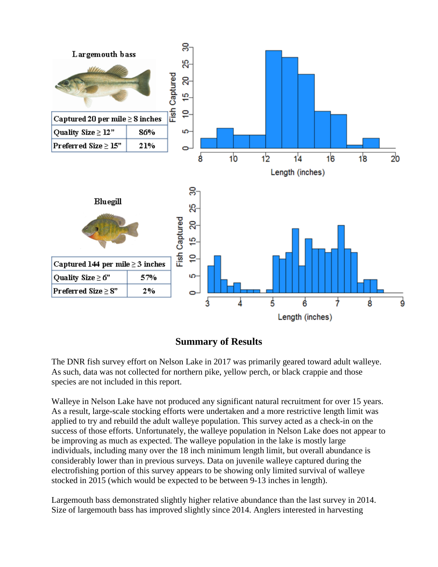

## **Summary of Results**

The DNR fish survey effort on Nelson Lake in 2017 was primarily geared toward adult walleye. As such, data was not collected for northern pike, yellow perch, or black crappie and those species are not included in this report.

Walleye in Nelson Lake have not produced any significant natural recruitment for over 15 years. As a result, large-scale stocking efforts were undertaken and a more restrictive length limit was applied to try and rebuild the adult walleye population. This survey acted as a check-in on the success of those efforts. Unfortunately, the walleye population in Nelson Lake does not appear to be improving as much as expected. The walleye population in the lake is mostly large individuals, including many over the 18 inch minimum length limit, but overall abundance is considerably lower than in previous surveys. Data on juvenile walleye captured during the electrofishing portion of this survey appears to be showing only limited survival of walleye stocked in 2015 (which would be expected to be between 9-13 inches in length).

Largemouth bass demonstrated slightly higher relative abundance than the last survey in 2014. Size of largemouth bass has improved slightly since 2014. Anglers interested in harvesting